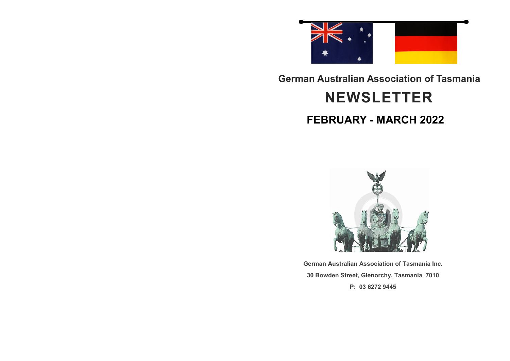

#### **German Australian Association of Tasmania**

# **NEWSLETTER**

## **FEBRUARY - MARCH 2022**



**German Australian Association of Tasmania Inc. 30 Bowden Street, Glenorchy, Tasmania 7010 P: 03 6272 9445**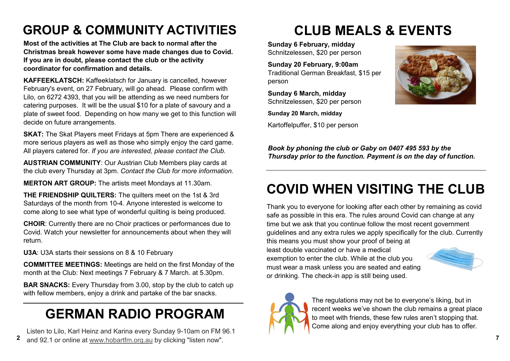## **GROUP & COMMUNITY ACTIVITIES CLUB MEALS & EVENTS**

**Most of the activities at The Club are back to normal after the Christmas break however some have made changes due to Covid. If you are in doubt, please contact the club or the activity coordinator for confirmation and details.**

**KAFFEEKLATSCH:** Kaffeeklatsch for January is cancelled, however February's event, on 27 February, will go ahead. Please confirm with Lilo, on 6272 4393, that you will be attending as we need numbers for catering purposes. It will be the usual \$10 for a plate of savoury and a plate of sweet food. Depending on how many we get to this function will decide on future arrangements.

**SKAT:** The Skat Players meet Fridays at 5pm There are experienced & more serious players as well as those who simply enjoy the card game. All players catered for. *If you are interested, please contact the Club.*

**AUSTRIAN COMMUNITY**: Our Austrian Club Members play cards at the club every Thursday at 3pm. *Contact the Club for more information.*

**MERTON ART GROUP:** The artists meet Mondays at 11.30am.

**THE FRIENDSHIP QUILTERS:** The quilters meet on the 1st & 3rd Saturdays of the month from 10-4. Anyone interested is welcome to come along to see what type of wonderful quilting is being produced.

**CHOIR**: Currently there are no Choir practices or performances due to Covid. Watch your newsletter for announcements about when they will return.

**U3A**: U3A starts their sessions on 8 & 10 February

**COMMITTEE MEETINGS:** Meetings are held on the first Monday of the month at the Club: Next meetings 7 February & 7 March. at 5.30pm.

**BAR SNACKS:** Every Thursday from 3.00, stop by the club to catch up with fellow members, enjoy a drink and partake of the bar snacks.

# **GERMAN RADIO PROGRAM**

Listen to Lilo, Karl Heinz and Karina every Sunday 9-10am on FM 96.1

#### **2 7** and 92.1 or online at [www.hobartfm.org.au](http://www.hobartfm.org.au/) by clicking "listen now".

**Sunday 6 February, midday** Schnitzelessen, \$20 per person

**Sunday 20 February, 9:00am** Traditional German Breakfast, \$15 per person

**Sunday 6 March, midday** Schnitzelessen, \$20 per person

**Sunday 20 March, midday**

Kartoffelpuffer, \$10 per person



*Book by phoning the club or Gaby on 0407 495 593 by the Thursday prior to the function. Payment is on the day of function.*

## **COVID WHEN VISITING THE CLUB**

Thank you to everyone for looking after each other by remaining as covid safe as possible in this era. The rules around Covid can change at any time but we ask that you continue follow the most recent government guidelines and any extra rules we apply specifically for the club. Currently this means you must show your proof of being at least double vaccinated or have a medical exemption to enter the club. While at the club you must wear a mask unless you are seated and eating or drinking. The check-in app is still being used.



The regulations may not be to everyone's liking, but in recent weeks we've shown the club remains a great place to meet with friends, these few rules aren't stopping that. Come along and enjoy everything your club has to offer.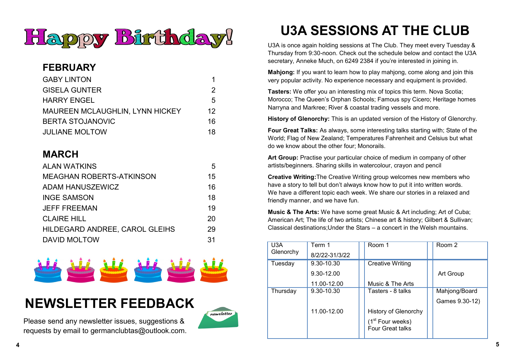

#### **FEBRUARY**

| <b>GABY LINTON</b>                     |    |
|----------------------------------------|----|
| <b>GISELA GUNTER</b>                   | 2  |
| <b>HARRY ENGEL</b>                     | 5  |
| <b>MAUREEN MCLAUGHLIN, LYNN HICKEY</b> | 12 |
| <b>BERTA STOJANOVIC</b>                | 16 |
| <b>JULIANE MOLTOW</b>                  | 18 |

## **MARCH**

| <b>ALAN WATKINS</b>             | 5  |
|---------------------------------|----|
| <b>MEAGHAN ROBERTS-ATKINSON</b> | 15 |
| ADAM HANUSZEWICZ                | 16 |
| <b>INGE SAMSON</b>              | 18 |
| <b>JEFF FREEMAN</b>             | 19 |
| <b>CLAIRE HILL</b>              | 20 |
| HILDEGARD ANDREE, CAROL GLEIHS  | 29 |
| DAVID MOLTOW                    | 31 |



## **NEWSLETTER FEEDBACK**



Please send any newsletter issues, suggestions & requests by email to germanclubtas@outlook.com.

## **U3A SESSIONS AT THE CLUB**

U3A is once again holding sessions at The Club. They meet every Tuesday & Thursday from 9:30-noon. Check out the schedule below and contact the U3A secretary, Anneke Much, on 6249 2384 if you're interested in joining in.

**Mahjong:** If you want to learn how to play mahjong, come along and join this very popular activity. No experience necessary and equipment is provided.

**Tasters:** We offer you an interesting mix of topics this term. Nova Scotia; Morocco; The Queen's Orphan Schools; Famous spy Cicero; Heritage homes Narryna and Markree; River & coastal trading vessels and more.

**History of Glenorchy:** This is an updated version of the History of Glenorchy.

**Four Great Talks:** As always, some interesting talks starting with; State of the World; Flag of New Zealand; Temperatures Fahrenheit and Celsius but what do we know about the other four; Monorails.

Art Group: Practise your particular choice of medium in company of other artists/beginners. Sharing skills in watercolour, crayon and pencil

**Creative Writing:**The Creative Writing group welcomes new members who have a story to tell but don't always know how to put it into written words. We have a different topic each week. We share our stories in a relaxed and friendly manner, and we have fun.

**Music & The Arts:** We have some great Music & Art including; Art of Cuba; American Art; The life of two artists; Chinese art & history; Gilbert & Sullivan; Classical destinations;Under the Stars – a concert in the Welsh mountains.

| U3A<br>Glenorchy | Term 1         | Room 1                                                  | Room 2         |
|------------------|----------------|---------------------------------------------------------|----------------|
|                  | 8/2/22-31/3/22 |                                                         |                |
| Tuesday          | 9.30-10.30     | <b>Creative Writing</b>                                 |                |
|                  | 9.30-12.00     |                                                         | Art Group      |
|                  | 11.00-12.00    | Music & The Arts                                        |                |
| Thursday         | 9.30-10.30     | Tasters - 8 talks                                       | Mahjong/Board  |
|                  |                |                                                         | Games 9.30-12) |
|                  | 11.00-12.00    | History of Glenorchy                                    |                |
|                  |                | (1 <sup>st</sup> Four weeks)<br><b>Four Great talks</b> |                |
|                  |                |                                                         |                |